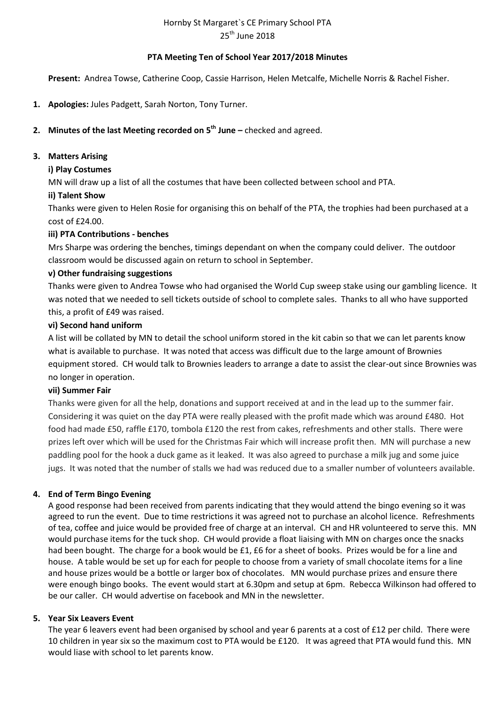# Hornby St Margaret`s CE Primary School PTA 25<sup>th</sup> June 2018

## **PTA Meeting Ten of School Year 2017/2018 Minutes**

**Present:** Andrea Towse, Catherine Coop, Cassie Harrison, Helen Metcalfe, Michelle Norris & Rachel Fisher.

**1. Apologies:** Jules Padgett, Sarah Norton, Tony Turner.

## **2. Minutes of the last Meeting recorded on 5 th June –** checked and agreed.

#### **3. Matters Arising**

## **i) Play Costumes**

MN will draw up a list of all the costumes that have been collected between school and PTA.

## **ii) Talent Show**

Thanks were given to Helen Rosie for organising this on behalf of the PTA, the trophies had been purchased at a cost of £24.00.

## **iii) PTA Contributions - benches**

Mrs Sharpe was ordering the benches, timings dependant on when the company could deliver. The outdoor classroom would be discussed again on return to school in September.

## **v) Other fundraising suggestions**

Thanks were given to Andrea Towse who had organised the World Cup sweep stake using our gambling licence. It was noted that we needed to sell tickets outside of school to complete sales. Thanks to all who have supported this, a profit of £49 was raised.

## **vi) Second hand uniform**

A list will be collated by MN to detail the school uniform stored in the kit cabin so that we can let parents know what is available to purchase. It was noted that access was difficult due to the large amount of Brownies equipment stored. CH would talk to Brownies leaders to arrange a date to assist the clear-out since Brownies was no longer in operation.

#### **vii) Summer Fair**

Thanks were given for all the help, donations and support received at and in the lead up to the summer fair. Considering it was quiet on the day PTA were really pleased with the profit made which was around £480. Hot food had made £50, raffle £170, tombola £120 the rest from cakes, refreshments and other stalls. There were prizes left over which will be used for the Christmas Fair which will increase profit then. MN will purchase a new paddling pool for the hook a duck game as it leaked. It was also agreed to purchase a milk jug and some juice jugs. It was noted that the number of stalls we had was reduced due to a smaller number of volunteers available.

#### **4. End of Term Bingo Evening**

A good response had been received from parents indicating that they would attend the bingo evening so it was agreed to run the event. Due to time restrictions it was agreed not to purchase an alcohol licence. Refreshments of tea, coffee and juice would be provided free of charge at an interval. CH and HR volunteered to serve this. MN would purchase items for the tuck shop. CH would provide a float liaising with MN on charges once the snacks had been bought. The charge for a book would be £1, £6 for a sheet of books. Prizes would be for a line and house. A table would be set up for each for people to choose from a variety of small chocolate items for a line and house prizes would be a bottle or larger box of chocolates. MN would purchase prizes and ensure there were enough bingo books. The event would start at 6.30pm and setup at 6pm. Rebecca Wilkinson had offered to be our caller. CH would advertise on facebook and MN in the newsletter.

#### **5. Year Six Leavers Event**

The year 6 leavers event had been organised by school and year 6 parents at a cost of £12 per child. There were 10 children in year six so the maximum cost to PTA would be £120. It was agreed that PTA would fund this. MN would liase with school to let parents know.